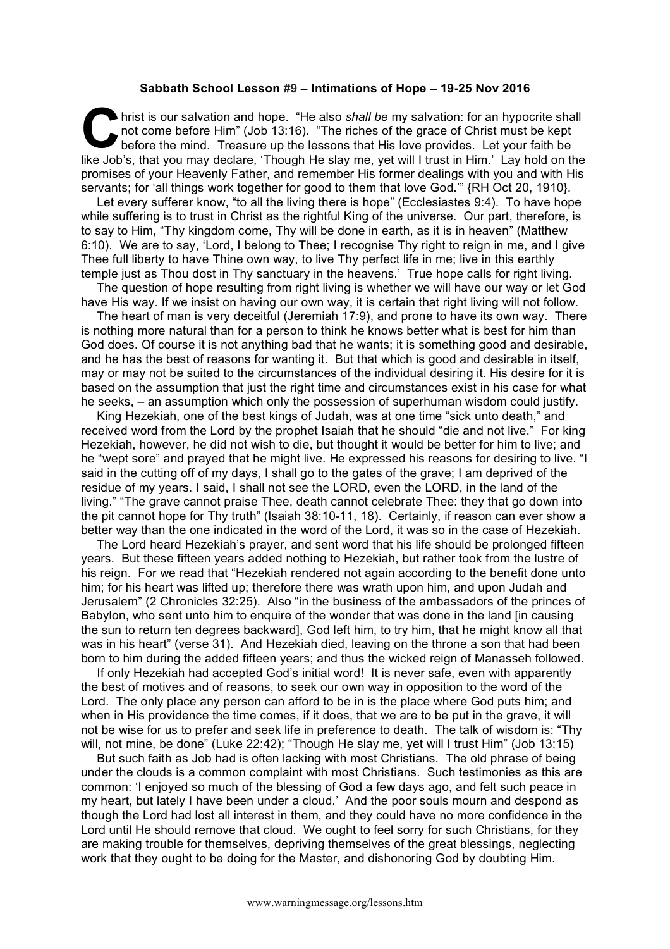## **Sabbath School Lesson #9 – Intimations of Hope – 19-25 Nov 2016**

hrist is our salvation and hope. "He also *shall be* my salvation: for an hypocrite shall not come before Him" (Job 13:16). "The riches of the grace of Christ must be kept before the mind. Treasure up the lessons that His love provides. Let your faith be like Job's, that you may declare, 'Though He slay me, yet will I trust in Him.' Lay hold on the promises of your Heavenly Father, and remember His former dealings with you and with His servants; for 'all things work together for good to them that love God.'" {RH Oct 20, 1910}. **C** hris

Let every sufferer know, "to all the living there is hope" (Ecclesiastes 9:4). To have hope while suffering is to trust in Christ as the rightful King of the universe. Our part, therefore, is to say to Him, "Thy kingdom come, Thy will be done in earth, as it is in heaven" (Matthew 6:10). We are to say, 'Lord, I belong to Thee; I recognise Thy right to reign in me, and I give Thee full liberty to have Thine own way, to live Thy perfect life in me; live in this earthly temple just as Thou dost in Thy sanctuary in the heavens.' True hope calls for right living.

The question of hope resulting from right living is whether we will have our way or let God have His way. If we insist on having our own way, it is certain that right living will not follow.

The heart of man is very deceitful (Jeremiah 17:9), and prone to have its own way. There is nothing more natural than for a person to think he knows better what is best for him than God does. Of course it is not anything bad that he wants; it is something good and desirable, and he has the best of reasons for wanting it. But that which is good and desirable in itself, may or may not be suited to the circumstances of the individual desiring it. His desire for it is based on the assumption that just the right time and circumstances exist in his case for what he seeks, – an assumption which only the possession of superhuman wisdom could justify.

King Hezekiah, one of the best kings of Judah, was at one time "sick unto death," and received word from the Lord by the prophet Isaiah that he should "die and not live." For king Hezekiah, however, he did not wish to die, but thought it would be better for him to live; and he "wept sore" and prayed that he might live. He expressed his reasons for desiring to live. "I said in the cutting off of my days, I shall go to the gates of the grave; I am deprived of the residue of my years. I said, I shall not see the LORD, even the LORD, in the land of the living." "The grave cannot praise Thee, death cannot celebrate Thee: they that go down into the pit cannot hope for Thy truth" (Isaiah 38:10-11, 18). Certainly, if reason can ever show a better way than the one indicated in the word of the Lord, it was so in the case of Hezekiah.

The Lord heard Hezekiah's prayer, and sent word that his life should be prolonged fifteen years. But these fifteen years added nothing to Hezekiah, but rather took from the lustre of his reign. For we read that "Hezekiah rendered not again according to the benefit done unto him; for his heart was lifted up; therefore there was wrath upon him, and upon Judah and Jerusalem" (2 Chronicles 32:25). Also "in the business of the ambassadors of the princes of Babylon, who sent unto him to enquire of the wonder that was done in the land [in causing the sun to return ten degrees backward], God left him, to try him, that he might know all that was in his heart" (verse 31). And Hezekiah died, leaving on the throne a son that had been born to him during the added fifteen years; and thus the wicked reign of Manasseh followed.

If only Hezekiah had accepted God's initial word! It is never safe, even with apparently the best of motives and of reasons, to seek our own way in opposition to the word of the Lord. The only place any person can afford to be in is the place where God puts him; and when in His providence the time comes, if it does, that we are to be put in the grave, it will not be wise for us to prefer and seek life in preference to death. The talk of wisdom is: "Thy will, not mine, be done" (Luke 22:42); "Though He slay me, yet will I trust Him" (Job 13:15)

But such faith as Job had is often lacking with most Christians. The old phrase of being under the clouds is a common complaint with most Christians. Such testimonies as this are common: 'I enjoyed so much of the blessing of God a few days ago, and felt such peace in my heart, but lately I have been under a cloud.' And the poor souls mourn and despond as though the Lord had lost all interest in them, and they could have no more confidence in the Lord until He should remove that cloud. We ought to feel sorry for such Christians, for they are making trouble for themselves, depriving themselves of the great blessings, neglecting work that they ought to be doing for the Master, and dishonoring God by doubting Him.